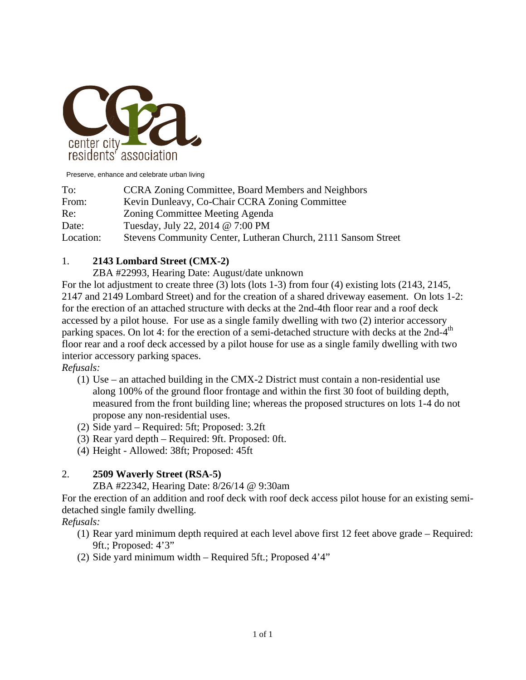

Preserve, enhance and celebrate urban living

| To:       | <b>CCRA Zoning Committee, Board Members and Neighbors</b>     |
|-----------|---------------------------------------------------------------|
| From:     | Kevin Dunleavy, Co-Chair CCRA Zoning Committee                |
| Re:       | Zoning Committee Meeting Agenda                               |
| Date:     | Tuesday, July 22, 2014 @ 7:00 PM                              |
| Location: | Stevens Community Center, Lutheran Church, 2111 Sansom Street |

## 1. **2143 Lombard Street (CMX-2)**

ZBA #22993, Hearing Date: August/date unknown

For the lot adjustment to create three (3) lots (lots 1-3) from four (4) existing lots (2143, 2145, 2147 and 2149 Lombard Street) and for the creation of a shared driveway easement. On lots 1-2: for the erection of an attached structure with decks at the 2nd-4th floor rear and a roof deck accessed by a pilot house. For use as a single family dwelling with two (2) interior accessory parking spaces. On lot 4: for the erection of a semi-detached structure with decks at the 2nd-4<sup>th</sup> floor rear and a roof deck accessed by a pilot house for use as a single family dwelling with two interior accessory parking spaces.

*Refusals:* 

- (1) Use an attached building in the CMX-2 District must contain a non-residential use along 100% of the ground floor frontage and within the first 30 foot of building depth, measured from the front building line; whereas the proposed structures on lots 1-4 do not propose any non-residential uses.
- (2) Side yard Required: 5ft; Proposed: 3.2ft
- (3) Rear yard depth Required: 9ft. Proposed: 0ft.
- (4) Height Allowed: 38ft; Proposed: 45ft

## 2. **2509 Waverly Street (RSA-5)**

ZBA #22342, Hearing Date: 8/26/14 @ 9:30am

For the erection of an addition and roof deck with roof deck access pilot house for an existing semidetached single family dwelling.

*Refusals:* 

- (1) Rear yard minimum depth required at each level above first 12 feet above grade Required: 9ft.; Proposed: 4'3"
- (2) Side yard minimum width Required 5ft.; Proposed 4'4"